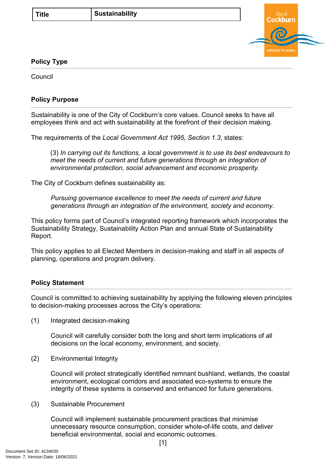

## **Policy Type**

Council

## **Policy Purpose**

Sustainability is one of the City of Cockburn's core values. Council seeks to have all employees think and act with sustainability at the forefront of their decision making.

The requirements of the *Local Government Act 1995, Section 1.3*, states:

(3) *In carrying out its functions, a local government is to use its best endeavours to meet the needs of current and future generations through an integration of environmental protection, social advancement and economic prosperity.*

The City of Cockburn defines sustainability as:

*Pursuing governance excellence to meet the needs of current and future generations through an integration of the environment, society and economy.*

This policy forms part of Council's integrated reporting framework which incorporates the Sustainability Strategy, Sustainability Action Plan and annual State of Sustainability Report.

This policy applies to all Elected Members in decision-making and staff in all aspects of planning, operations and program delivery.

## **[Policy Statement](#page-0-0)**

<span id="page-0-0"></span>Council is committed to achieving sustainability by applying the following eleven principles to decision-making processes across the City's operations:

(1) Integrated decision-making

Council will carefully consider both the long and short term implications of all decisions on the local economy, environment, and society.

(2) Environmental Integrity

Council will protect strategically identified remnant bushland, wetlands, the coastal environment, ecological corridors and associated eco-systems to ensure the integrity of these systems is conserved and enhanced for future generations.

(3) Sustainable Procurement

Council will implement sustainable procurement practices that minimise unnecessary resource consumption, consider whole-of-life costs, and deliver beneficial environmental, social and economic outcomes.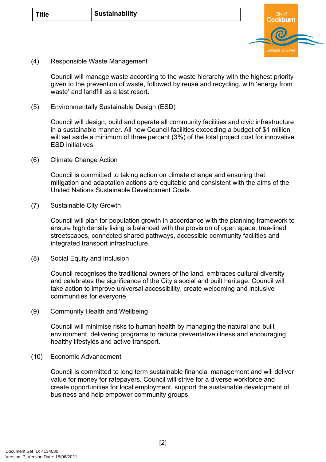

(4) Responsible Waste Management

Council will manage waste according to the waste hierarchy with the highest priority given to the prevention of waste, followed by reuse and recycling, with 'energy from waste' and landfill as a last resort.

(5) Environmentally Sustainable Design (ESD)

Council will design, build and operate all community facilities and civic infrastructure in a sustainable manner. All new Council facilities exceeding a budget of \$1 million will set aside a minimum of three percent (3%) of the total project cost for innovative ESD initiatives.

(6) Climate Change Action

Council is committed to taking action on climate change and ensuring that mitigation and adaptation actions are equitable and consistent with the aims of the United Nations Sustainable Development Goals.

(7) Sustainable City Growth

Council will plan for population growth in accordance with the planning framework to ensure high density living is balanced with the provision of open space, tree-lined streetscapes, connected shared pathways, accessible community facilities and integrated transport infrastructure.

(8) Social Equity and Inclusion

Council recognises the traditional owners of the land, embraces cultural diversity and celebrates the significance of the City's social and built heritage. Council will take action to improve universal accessibility, create welcoming and inclusive communities for everyone.

(9) Community Health and Wellbeing

Council will minimise risks to human health by managing the natural and built environment, delivering programs to reduce preventative illness and encouraging healthy lifestyles and active transport.

(10) Economic Advancement

Council is committed to long term sustainable financial management and will deliver value for money for ratepayers. Council will strive for a diverse workforce and create opportunities for local employment, support the sustainable development of business and help empower community groups.